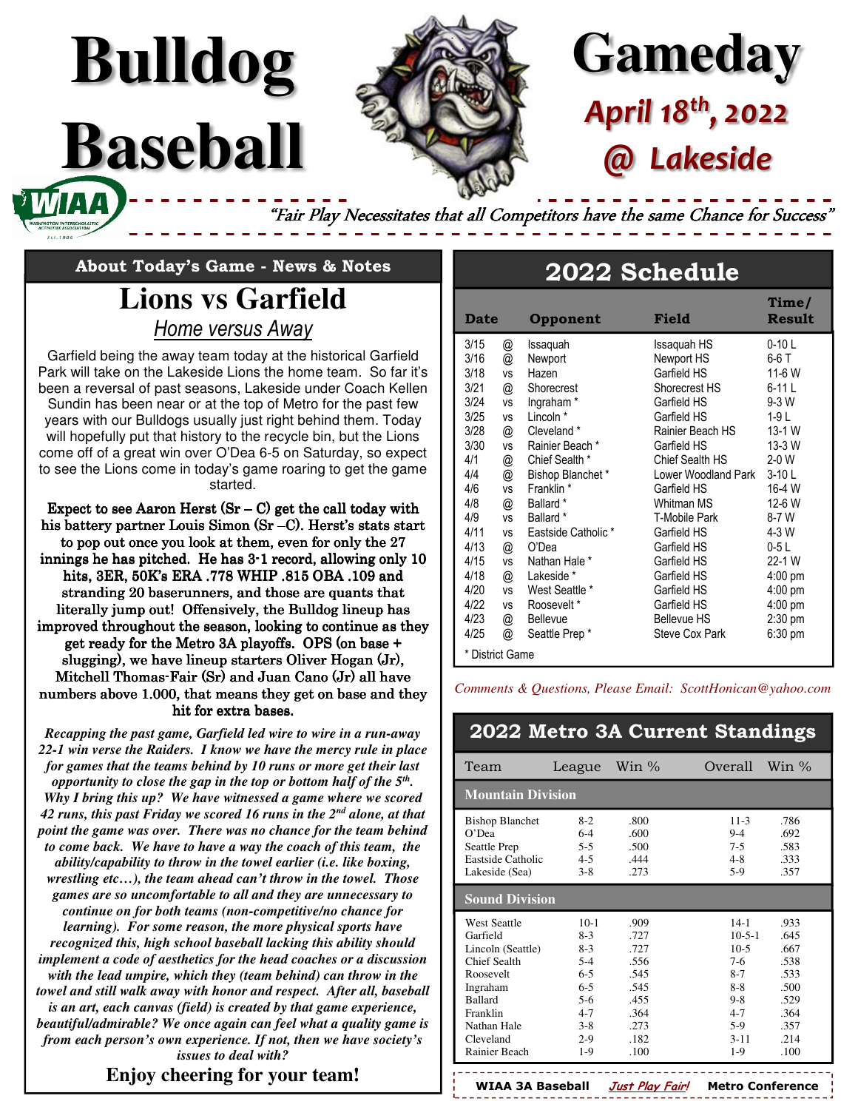

# **Gameday** *April 18th, 2022 @ Lakeside*

"Fair Play Necessitates that all Competitors have the same Chance for Success'

# **About Today's Game - News & Notes**

**Bulldog**

**Baseball** 

### **Lions vs Garfield**  *Home versus Away*

Garfield being the away team today at the historical Garfield Park will take on the Lakeside Lions the home team. So far it's been a reversal of past seasons, Lakeside under Coach Kellen Sundin has been near or at the top of Metro for the past few years with our Bulldogs usually just right behind them. Today will hopefully put that history to the recycle bin, but the Lions come off of a great win over O'Dea 6-5 on Saturday, so expect to see the Lions come in today's game roaring to get the game started.

Expect to see Aaron Herst  $(Sr - C)$  get the call today with his battery partner Louis Simon (Sr -C). Herst's stats start to pop out once you look at them, even for only the 27 innings he has pitched. He has  $3-1$  record, allowing only  $10$ hits, 3ER, 50K's ERA .778 WHIP .815 OBA .109 and stranding 20 baserunners, and those are quants that literally jump out! Offensively, the Bulldog lineup has improved throughout the season, looking to continue as they get ready for the Metro 3A playoffs. OPS (on base  $+$ slugging), we have lineup starters Oliver Hogan (Jr), Mitchell Thomas-Fair (Sr) and Juan Cano (Jr) all have numbers above 1.000, that means they get on base and they hit for extra bases.

*Recapping the past game, Garfield led wire to wire in a run-away 22-1 win verse the Raiders. I know we have the mercy rule in place for games that the teams behind by 10 runs or more get their last opportunity to close the gap in the top or bottom half of the 5th . Why I bring this up? We have witnessed a game where we scored 42 runs, this past Friday we scored 16 runs in the 2 nd alone, at that point the game was over. There was no chance for the team behind to come back. We have to have a way the coach of this team, the ability/capability to throw in the towel earlier (i.e. like boxing, wrestling etc…), the team ahead can't throw in the towel. Those games are so uncomfortable to all and they are unnecessary to continue on for both teams (non-competitive/no chance for learning). For some reason, the more physical sports have recognized this, high school baseball lacking this ability should implement a code of aesthetics for the head coaches or a discussion with the lead umpire, which they (team behind) can throw in the towel and still walk away with honor and respect. After all, baseball is an art, each canvas (field) is created by that game experience, beautiful/admirable? We once again can feel what a quality game is from each person's own experience. If not, then we have society's issues to deal with?* 

### **Enjoy cheering for your team!**

## **2022 Schedule**

| <b>Date</b>                                                                                   |                                                                                             | Opponent                                                                                                                                                                          | Field                                                                                                                                                                               | Time/<br><b>Result</b>                                                                                                                        |
|-----------------------------------------------------------------------------------------------|---------------------------------------------------------------------------------------------|-----------------------------------------------------------------------------------------------------------------------------------------------------------------------------------|-------------------------------------------------------------------------------------------------------------------------------------------------------------------------------------|-----------------------------------------------------------------------------------------------------------------------------------------------|
| 3/15<br>3/16<br>3/18<br>3/21<br>3/24<br>3/25<br>3/28<br>3/30<br>4/1<br>4/4<br>4/6             | @<br>@<br><b>VS</b><br>@<br><b>VS</b><br><b>VS</b><br>@<br><b>VS</b><br>@<br>@<br><b>VS</b> | Issaquah<br>Newport<br>Hazen<br>Shorecrest<br>Ingraham <sup>*</sup><br>Lincoln <sup>*</sup><br>Cleveland *<br>Rainier Beach *<br>Chief Sealth *<br>Bishop Blanchet*<br>Franklin * | Issaquah HS<br>Newport HS<br>Garfield HS<br>Shorecrest HS<br>Garfield HS<br>Garfield HS<br>Rainier Beach HS<br>Garfield HS<br>Chief Sealth HS<br>Lower Woodland Park<br>Garfield HS | $0-10L$<br>6-6 T<br>11-6 W<br>$6-11L$<br>$9-3$ W<br>$1-9L$<br>13-1 W<br>13-3 W<br>$2-0$ W<br>$3-10L$<br>16-4 W                                |
| 4/8<br>4/9<br>4/11<br>4/13<br>4/15<br>4/18<br>4/20<br>4/22<br>4/23<br>4/25<br>* District Game | @<br><b>VS</b><br><b>VS</b><br>@<br><b>VS</b><br>@<br><b>VS</b><br><b>VS</b><br>@<br>@      | Ballard *<br>Ballard *<br>Eastside Catholic *<br>O'Dea<br>Nathan Hale *<br>Lakeside *<br>West Seattle *<br>Roosevelt *<br><b>Bellevue</b><br>Seattle Prep*                        | Whitman MS<br>T-Mobile Park<br>Garfield HS<br>Garfield HS<br>Garfield HS<br>Garfield HS<br>Garfield HS<br>Garfield HS<br><b>Bellevue HS</b><br>Steve Cox Park                       | 12-6 W<br>8-7 W<br>4-3 W<br>$0-5L$<br>22-1 W<br>$4:00 \text{ pm}$<br>$4:00 \text{ pm}$<br>$4:00 \text{ pm}$<br>$2:30$ pm<br>$6:30 \text{ pm}$ |

*Comments & Questions, Please Email: ScottHonican@yahoo.com*

|                                                                                                                                                                          |                                                                                                          |                                                                                      | 2022 Metro 3A Current Standings                                                                                                                                                                             |
|--------------------------------------------------------------------------------------------------------------------------------------------------------------------------|----------------------------------------------------------------------------------------------------------|--------------------------------------------------------------------------------------|-------------------------------------------------------------------------------------------------------------------------------------------------------------------------------------------------------------|
| Team                                                                                                                                                                     | League                                                                                                   | Win $\%$                                                                             | Overall<br>Win $\%$                                                                                                                                                                                         |
| <b>Mountain Division</b>                                                                                                                                                 |                                                                                                          |                                                                                      |                                                                                                                                                                                                             |
| <b>Bishop Blanchet</b><br>$O'$ Dea<br>Seattle Prep<br>Eastside Catholic<br>Lakeside (Sea)                                                                                | $8-2$<br>$6 - 4$<br>$5 - 5$<br>$4 - 5$<br>$3 - 8$                                                        | .800<br>.600<br>.500<br>444<br>.273                                                  | .786<br>$11 - 3$<br>$9 - 4$<br>.692<br>$7 - 5$<br>.583<br>$4 - 8$<br>.333<br>$5-9$<br>.357                                                                                                                  |
| <b>Sound Division</b>                                                                                                                                                    |                                                                                                          |                                                                                      |                                                                                                                                                                                                             |
| <b>West Seattle</b><br>Garfield<br>Lincoln (Seattle)<br>Chief Sealth<br>Roosevelt<br>Ingraham<br><b>Ballard</b><br>Franklin<br>Nathan Hale<br>Cleveland<br>Rainier Beach | $10-1$<br>$8-3$<br>$8-3$<br>$5-4$<br>$6 - 5$<br>$6 - 5$<br>$5-6$<br>$4 - 7$<br>$3 - 8$<br>$2-9$<br>$1-9$ | .909<br>.727<br>.727<br>.556<br>.545<br>.545<br>.455<br>.364<br>.273<br>.182<br>.100 | $14-1$<br>.933<br>$10 - 5 - 1$<br>.645<br>$10-5$<br>.667<br>$7-6$<br>.538<br>$8 - 7$<br>.533<br>$8 - 8$<br>.500<br>$9 - 8$<br>.529<br>.364<br>$4 - 7$<br>$5-9$<br>.357<br>$3 - 11$<br>.214<br>$1-9$<br>.100 |

**WIAA 3A Baseball Just Play Fair! Metro Conference**